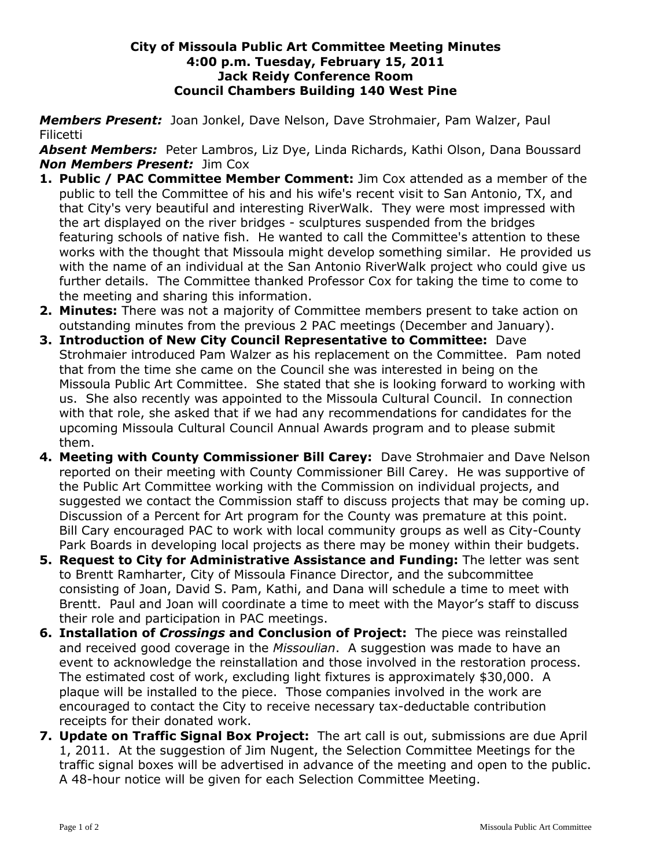## **City of Missoula Public Art Committee Meeting Minutes 4:00 p.m. Tuesday, February 15, 2011 Jack Reidy Conference Room Council Chambers Building 140 West Pine**

*Members Present:* Joan Jonkel, Dave Nelson, Dave Strohmaier, Pam Walzer, Paul Filicetti

*Absent Members:* Peter Lambros, Liz Dye, Linda Richards, Kathi Olson, Dana Boussard *Non Members Present:* Jim Cox

- **1. Public / PAC Committee Member Comment:** Jim Cox attended as a member of the public to tell the Committee of his and his wife's recent visit to San Antonio, TX, and that City's very beautiful and interesting RiverWalk. They were most impressed with the art displayed on the river bridges - sculptures suspended from the bridges featuring schools of native fish. He wanted to call the Committee's attention to these works with the thought that Missoula might develop something similar. He provided us with the name of an individual at the San Antonio RiverWalk project who could give us further details. The Committee thanked Professor Cox for taking the time to come to the meeting and sharing this information.
- **2. Minutes:** There was not a majority of Committee members present to take action on outstanding minutes from the previous 2 PAC meetings (December and January).
- **3. Introduction of New City Council Representative to Committee:** Dave Strohmaier introduced Pam Walzer as his replacement on the Committee. Pam noted that from the time she came on the Council she was interested in being on the Missoula Public Art Committee. She stated that she is looking forward to working with us. She also recently was appointed to the Missoula Cultural Council. In connection with that role, she asked that if we had any recommendations for candidates for the upcoming Missoula Cultural Council Annual Awards program and to please submit them.
- **4. Meeting with County Commissioner Bill Carey:** Dave Strohmaier and Dave Nelson reported on their meeting with County Commissioner Bill Carey. He was supportive of the Public Art Committee working with the Commission on individual projects, and suggested we contact the Commission staff to discuss projects that may be coming up. Discussion of a Percent for Art program for the County was premature at this point. Bill Cary encouraged PAC to work with local community groups as well as City-County Park Boards in developing local projects as there may be money within their budgets.
- **5. Request to City for Administrative Assistance and Funding:** The letter was sent to Brentt Ramharter, City of Missoula Finance Director, and the subcommittee consisting of Joan, David S. Pam, Kathi, and Dana will schedule a time to meet with Brentt. Paul and Joan will coordinate a time to meet with the Mayor's staff to discuss their role and participation in PAC meetings.
- **6. Installation of** *Crossings* **and Conclusion of Project:** The piece was reinstalled and received good coverage in the *Missoulian*. A suggestion was made to have an event to acknowledge the reinstallation and those involved in the restoration process. The estimated cost of work, excluding light fixtures is approximately \$30,000. A plaque will be installed to the piece. Those companies involved in the work are encouraged to contact the City to receive necessary tax-deductable contribution receipts for their donated work.
- **7. Update on Traffic Signal Box Project:** The art call is out, submissions are due April 1, 2011. At the suggestion of Jim Nugent, the Selection Committee Meetings for the traffic signal boxes will be advertised in advance of the meeting and open to the public. A 48-hour notice will be given for each Selection Committee Meeting.